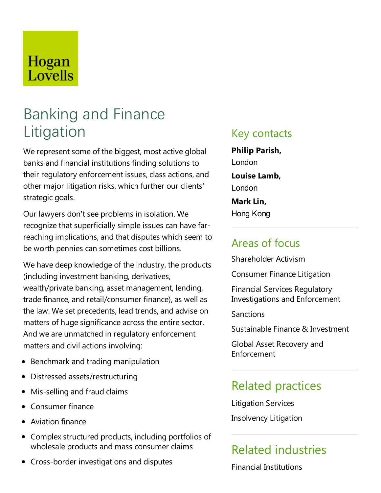# Hogan Lovells

# Banking and Finance Litigation

We represent some of the biggest, most active global banks and financial institutions finding solutions to their regulatory enforcement issues, class actions, and other major litigation risks, which further our clients' strategic goals.

Our lawyers don't see problems in isolation. We recognize that superficially simple issues can have farreaching implications, and that disputes which seem to be worth pennies can sometimes cost billions.

We have deep knowledge of the industry, the products (including investment banking, derivatives, wealth/private banking, asset management, lending, trade finance, and retail/consumer finance), as well as the law. We set precedents, lead trends, and advise on matters of huge significance across the entire sector. And we are unmatched in regulatory enforcement matters and civil actions involving:

- Benchmark and trading manipulation
- Distressed assets/restructuring
- Mis-selling and fraud claims
- Consumer finance
- Aviation finance
- Complex structured products, including portfolios of wholesale products and mass consumer claims
- Cross-border investigations and disputes

### Key contacts

**Philip Parish,** London **Louise Lamb,** London **Mark Lin,** Hong Kong

### Areas of focus

Shareholder Activism

**Consumer Finance Litigation** 

Financial Services Regulatory Investigations and Enforcement

**Sanctions** 

Sustainable Finance & Investment

Global Asset Recovery and Enforcement

### Related practices

Litigation Services

Insolvency Litigation

## Related industries

Financial Institutions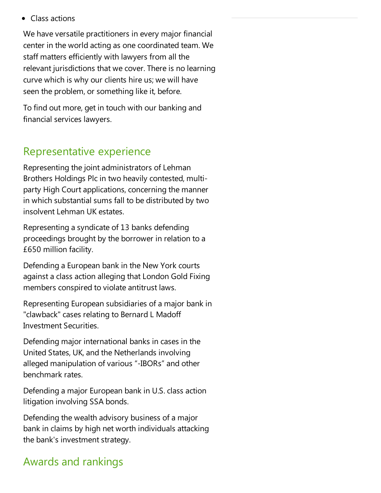Class actions

We have versatile practitioners in every major financial center in the world acting as one coordinated team. We staff matters efficiently with lawyers from all the relevant jurisdictions that we cover. There is no learning curve which is why our clients hire us; we will have seen the problem, or something like it, before.

To find out more, get in touch with our banking and financial services lawyers.

### Representative experience

Representing the joint administrators of Lehman Brothers Holdings Plc in two heavily contested, multiparty High Court applications, concerning the manner in which substantial sums fall to be distributed by two insolvent Lehman UK estates.

Representing asyndicate of 13 banks defending proceedings brought by the borrower in relation to a £650 million facility.

Defending a European bank in the New York courts against a class action alleging that London Gold Fixing members conspired to violate antitrust laws.

Representing European subsidiaries of a major bank in "clawback" cases relating to Bernard L Madoff Investment Securities.

Defending major international banks in cases in the United States, UK, and the Netherlands involving alleged manipulation of various "-IBORs"and other benchmark rates.

Defending a major European bank in U.S. class action litigation involving SSA bonds.

Defending the wealth advisory business of a major bank in claims by high net worth individuals attacking the bank's investment strategy.

### Awards and rankings